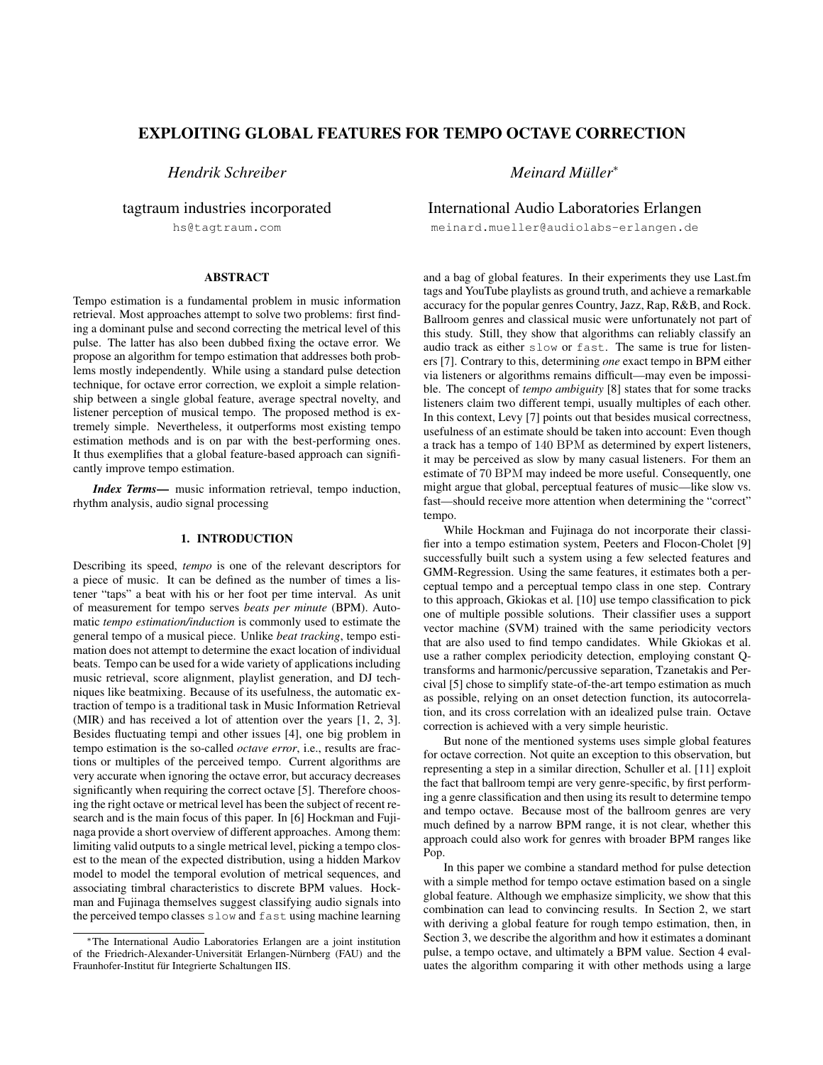# EXPLOITING GLOBAL FEATURES FOR TEMPO OCTAVE CORRECTION

*Hendrik Schreiber*

tagtraum industries incorporated

hs@tagtraum.com

## ABSTRACT

Tempo estimation is a fundamental problem in music information retrieval. Most approaches attempt to solve two problems: first finding a dominant pulse and second correcting the metrical level of this pulse. The latter has also been dubbed fixing the octave error. We propose an algorithm for tempo estimation that addresses both problems mostly independently. While using a standard pulse detection technique, for octave error correction, we exploit a simple relationship between a single global feature, average spectral novelty, and listener perception of musical tempo. The proposed method is extremely simple. Nevertheless, it outperforms most existing tempo estimation methods and is on par with the best-performing ones. It thus exemplifies that a global feature-based approach can significantly improve tempo estimation.

*Index Terms*— music information retrieval, tempo induction, rhythm analysis, audio signal processing

# 1. INTRODUCTION

Describing its speed, *tempo* is one of the relevant descriptors for a piece of music. It can be defined as the number of times a listener "taps" a beat with his or her foot per time interval. As unit of measurement for tempo serves *beats per minute* (BPM). Automatic *tempo estimation/induction* is commonly used to estimate the general tempo of a musical piece. Unlike *beat tracking*, tempo estimation does not attempt to determine the exact location of individual beats. Tempo can be used for a wide variety of applications including music retrieval, score alignment, playlist generation, and DJ techniques like beatmixing. Because of its usefulness, the automatic extraction of tempo is a traditional task in Music Information Retrieval (MIR) and has received a lot of attention over the years [1, 2, 3]. Besides fluctuating tempi and other issues [4], one big problem in tempo estimation is the so-called *octave error*, i.e., results are fractions or multiples of the perceived tempo. Current algorithms are very accurate when ignoring the octave error, but accuracy decreases significantly when requiring the correct octave [5]. Therefore choosing the right octave or metrical level has been the subject of recent research and is the main focus of this paper. In [6] Hockman and Fujinaga provide a short overview of different approaches. Among them: limiting valid outputs to a single metrical level, picking a tempo closest to the mean of the expected distribution, using a hidden Markov model to model the temporal evolution of metrical sequences, and associating timbral characteristics to discrete BPM values. Hockman and Fujinaga themselves suggest classifying audio signals into the perceived tempo classes slow and fast using machine learning

*Meinard Muller ¨* ∗

# International Audio Laboratories Erlangen

meinard.mueller@audiolabs-erlangen.de

and a bag of global features. In their experiments they use Last.fm tags and YouTube playlists as ground truth, and achieve a remarkable accuracy for the popular genres Country, Jazz, Rap, R&B, and Rock. Ballroom genres and classical music were unfortunately not part of this study. Still, they show that algorithms can reliably classify an audio track as either slow or fast. The same is true for listeners [7]. Contrary to this, determining *one* exact tempo in BPM either via listeners or algorithms remains difficult—may even be impossible. The concept of *tempo ambiguity* [8] states that for some tracks listeners claim two different tempi, usually multiples of each other. In this context, Levy [7] points out that besides musical correctness, usefulness of an estimate should be taken into account: Even though a track has a tempo of 140 BPM as determined by expert listeners, it may be perceived as slow by many casual listeners. For them an estimate of 70 BPM may indeed be more useful. Consequently, one might argue that global, perceptual features of music—like slow vs. fast—should receive more attention when determining the "correct" tempo.

While Hockman and Fujinaga do not incorporate their classifier into a tempo estimation system, Peeters and Flocon-Cholet [9] successfully built such a system using a few selected features and GMM-Regression. Using the same features, it estimates both a perceptual tempo and a perceptual tempo class in one step. Contrary to this approach, Gkiokas et al. [10] use tempo classification to pick one of multiple possible solutions. Their classifier uses a support vector machine (SVM) trained with the same periodicity vectors that are also used to find tempo candidates. While Gkiokas et al. use a rather complex periodicity detection, employing constant Qtransforms and harmonic/percussive separation, Tzanetakis and Percival [5] chose to simplify state-of-the-art tempo estimation as much as possible, relying on an onset detection function, its autocorrelation, and its cross correlation with an idealized pulse train. Octave correction is achieved with a very simple heuristic.

But none of the mentioned systems uses simple global features for octave correction. Not quite an exception to this observation, but representing a step in a similar direction, Schuller et al. [11] exploit the fact that ballroom tempi are very genre-specific, by first performing a genre classification and then using its result to determine tempo and tempo octave. Because most of the ballroom genres are very much defined by a narrow BPM range, it is not clear, whether this approach could also work for genres with broader BPM ranges like Pop.

In this paper we combine a standard method for pulse detection with a simple method for tempo octave estimation based on a single global feature. Although we emphasize simplicity, we show that this combination can lead to convincing results. In Section 2, we start with deriving a global feature for rough tempo estimation, then, in Section 3, we describe the algorithm and how it estimates a dominant pulse, a tempo octave, and ultimately a BPM value. Section 4 evaluates the algorithm comparing it with other methods using a large

<sup>∗</sup>The International Audio Laboratories Erlangen are a joint institution of the Friedrich-Alexander-Universität Erlangen-Nürnberg (FAU) and the Fraunhofer-Institut für Integrierte Schaltungen IIS.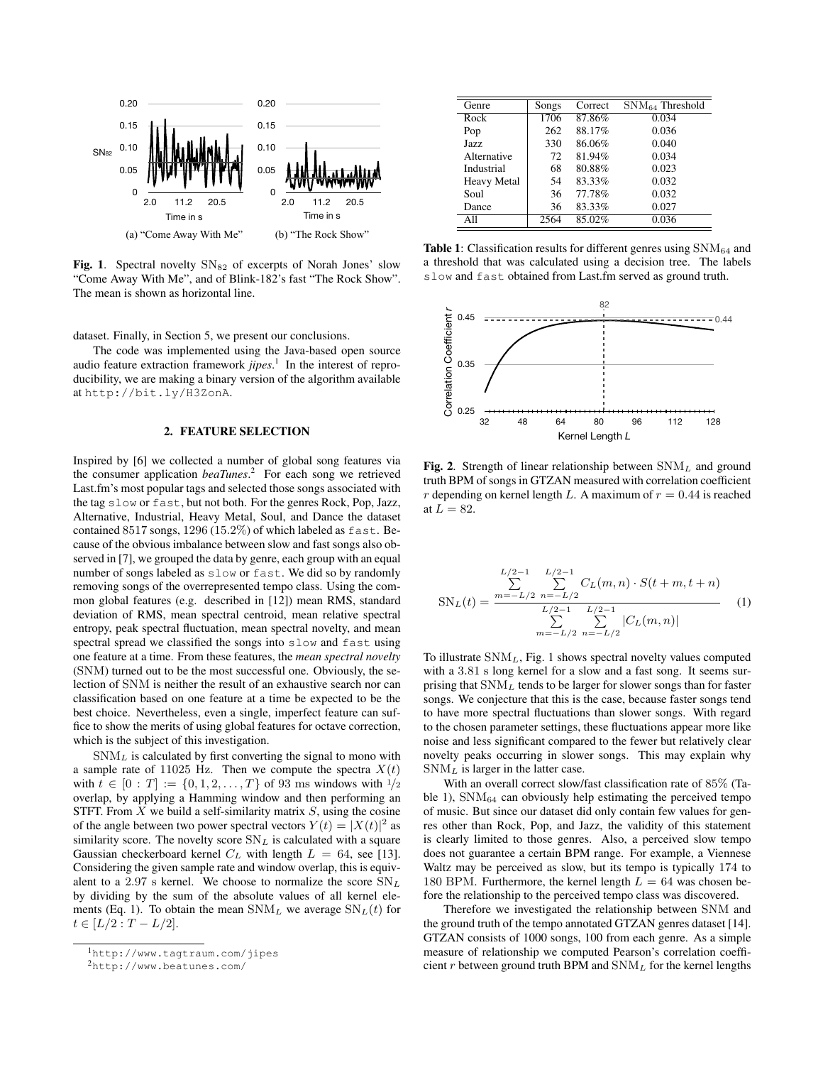

Fig. 1. Spectral novelty  $SN_{82}$  of excerpts of Norah Jones' slow "Come Away With Me", and of Blink-182's fast "The Rock Show". The mean is shown as horizontal line.

dataset. Finally, in Section 5, we present our conclusions.

The code was implemented using the Java-based open source audio feature extraction framework *jipes*. 1 In the interest of reproducibility, we are making a binary version of the algorithm available at http://bit.ly/H3ZonA.

## 2. FEATURE SELECTION

Inspired by [6] we collected a number of global song features via the consumer application *beaTunes*. 2 For each song we retrieved Last.fm's most popular tags and selected those songs associated with the tag slow or fast, but not both. For the genres Rock, Pop, Jazz, Alternative, Industrial, Heavy Metal, Soul, and Dance the dataset contained 8517 songs, 1296 (15.2%) of which labeled as fast. Because of the obvious imbalance between slow and fast songs also observed in [7], we grouped the data by genre, each group with an equal number of songs labeled as slow or fast. We did so by randomly removing songs of the overrepresented tempo class. Using the common global features (e.g. described in [12]) mean RMS, standard deviation of RMS, mean spectral centroid, mean relative spectral entropy, peak spectral fluctuation, mean spectral novelty, and mean spectral spread we classified the songs into slow and fast using one feature at a time. From these features, the *mean spectral novelty* (SNM) turned out to be the most successful one. Obviously, the selection of SNM is neither the result of an exhaustive search nor can classification based on one feature at a time be expected to be the best choice. Nevertheless, even a single, imperfect feature can suffice to show the merits of using global features for octave correction, which is the subject of this investigation.

 $SNM<sub>L</sub>$  is calculated by first converting the signal to mono with a sample rate of 11025 Hz. Then we compute the spectra  $X(t)$ with  $t \in [0 : T] := \{0, 1, 2, ..., T\}$  of 93 ms windows with  $1/2$ overlap, by applying a Hamming window and then performing an STFT. From  $X$  we build a self-similarity matrix  $S$ , using the cosine of the angle between two power spectral vectors  $Y(t) = |X(t)|^2$  as similarity score. The novelty score  $SN_L$  is calculated with a square Gaussian checkerboard kernel  $C_L$  with length  $L = 64$ , see [13]. Considering the given sample rate and window overlap, this is equivalent to a 2.97 s kernel. We choose to normalize the score  $SN_L$ by dividing by the sum of the absolute values of all kernel elements (Eq. 1). To obtain the mean  $\text{SNM}_L$  we average  $\text{SN}_L(t)$  for  $t \in [L/2 : T - L/2].$ 

| Genre              | Songs | Correct | $\text{SNM}_{64}$ Threshold |
|--------------------|-------|---------|-----------------------------|
| Rock               | 1706  | 87.86%  | 0.034                       |
| Pop                | 262   | 88.17%  | 0.036                       |
| Jazz               | 330   | 86.06%  | 0.040                       |
| Alternative        | 72    | 81.94%  | 0.034                       |
| Industrial         | 68    | 80.88%  | 0.023                       |
| <b>Heavy Metal</b> | 54    | 83.33%  | 0.032                       |
| Soul               | 36    | 77.78%  | 0.032                       |
| Dance              | 36    | 83.33%  | 0.027                       |
| A11                | 2564  | 85.02%  | 0.036                       |

**Table 1:** Classification results for different genres using  $\text{SNM}_{64}$  and a threshold that was calculated using a decision tree. The labels slow and fast obtained from Last.fm served as ground truth.



Fig. 2. Strength of linear relationship between  $\text{SNM}_L$  and ground truth BPM of songs in GTZAN measured with correlation coefficient r depending on kernel length L. A maximum of  $r = 0.44$  is reached at  $\overline{L} = 82$ .

$$
SN_L(t) = \frac{\sum_{n=-L/2}^{L/2-1} \sum_{n=-L/2}^{L/2-1} C_L(m,n) \cdot S(t+m, t+n)}{\sum_{n=-L/2}^{L/2-1} \sum_{n=-L/2}^{L/2-1} |C_L(m,n)|} \tag{1}
$$

To illustrate  $SNM<sub>L</sub>$ , Fig. 1 shows spectral novelty values computed with a 3.81 s long kernel for a slow and a fast song. It seems surprising that  $SNM<sub>L</sub>$  tends to be larger for slower songs than for faster songs. We conjecture that this is the case, because faster songs tend to have more spectral fluctuations than slower songs. With regard to the chosen parameter settings, these fluctuations appear more like noise and less significant compared to the fewer but relatively clear novelty peaks occurring in slower songs. This may explain why  $SNM<sub>L</sub>$  is larger in the latter case.

With an overall correct slow/fast classification rate of 85% (Table 1),  $\text{SNM}_{64}$  can obviously help estimating the perceived tempo of music. But since our dataset did only contain few values for genres other than Rock, Pop, and Jazz, the validity of this statement is clearly limited to those genres. Also, a perceived slow tempo does not guarantee a certain BPM range. For example, a Viennese Waltz may be perceived as slow, but its tempo is typically 174 to 180 BPM. Furthermore, the kernel length  $L = 64$  was chosen before the relationship to the perceived tempo class was discovered.

Therefore we investigated the relationship between SNM and the ground truth of the tempo annotated GTZAN genres dataset [14]. GTZAN consists of 1000 songs, 100 from each genre. As a simple measure of relationship we computed Pearson's correlation coefficient r between ground truth BPM and  $\text{SNM}_L$  for the kernel lengths

<sup>1</sup>http://www.tagtraum.com/jipes

<sup>2</sup>http://www.beatunes.com/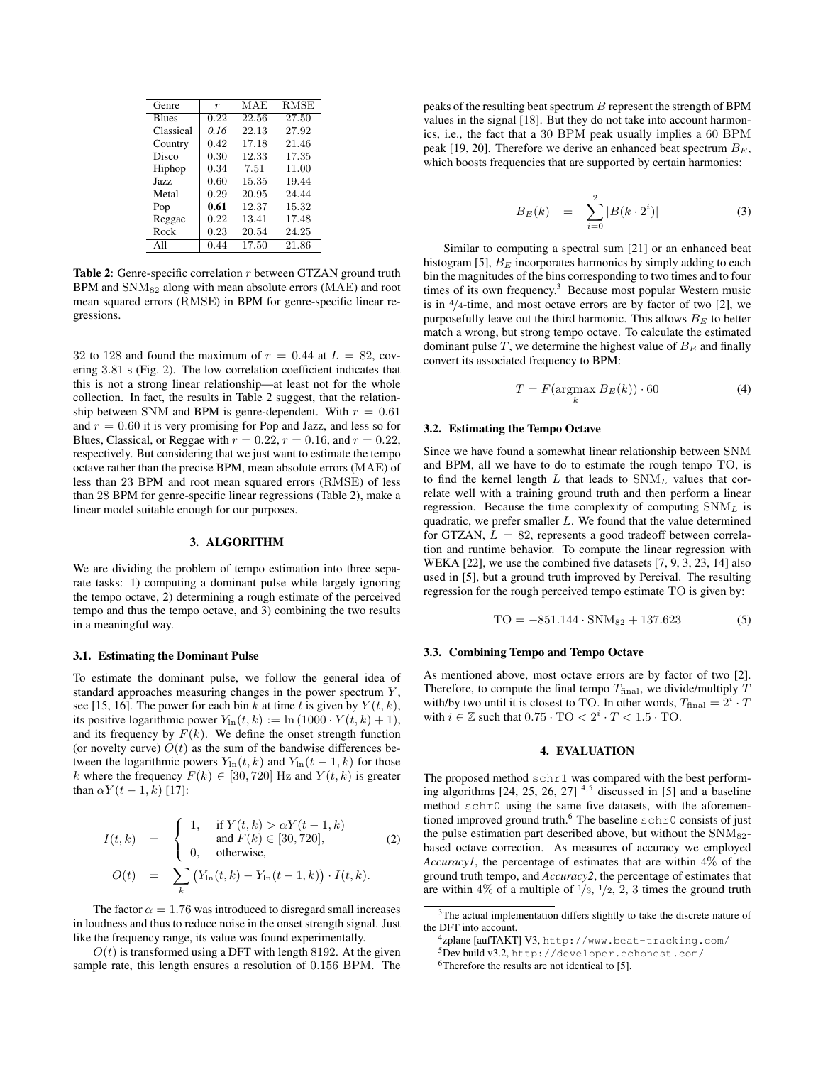| r                 | MAE   | <b>RMSE</b> |
|-------------------|-------|-------------|
| $\overline{0.22}$ | 22.56 | 27.50       |
| 0.16              | 22.13 | 27.92       |
| 0.42              | 17.18 | 21.46       |
| 0.30              | 12.33 | 17.35       |
| 0.34              | 7.51  | 11.00       |
| 0.60              | 15.35 | 19.44       |
| 0.29              | 20.95 | 24.44       |
| 0.61              | 12.37 | 15.32       |
| 0.22              | 13.41 | 17.48       |
| 0.23              | 20.54 | 24.25       |
| 0.44              | 17.50 | 21.86       |
|                   |       |             |

Table 2: Genre-specific correlation r between GTZAN ground truth  $BPM$  and  $SNM<sub>82</sub>$  along with mean absolute errors (MAE) and root mean squared errors (RMSE) in BPM for genre-specific linear regressions.

32 to 128 and found the maximum of  $r = 0.44$  at  $L = 82$ , covering 3.81 s (Fig. 2). The low correlation coefficient indicates that this is not a strong linear relationship—at least not for the whole collection. In fact, the results in Table 2 suggest, that the relationship between SNM and BPM is genre-dependent. With  $r = 0.61$ and  $r = 0.60$  it is very promising for Pop and Jazz, and less so for Blues, Classical, or Reggae with  $r = 0.22$ ,  $r = 0.16$ , and  $r = 0.22$ , respectively. But considering that we just want to estimate the tempo octave rather than the precise BPM, mean absolute errors (MAE) of less than 23 BPM and root mean squared errors (RMSE) of less than 28 BPM for genre-specific linear regressions (Table 2), make a linear model suitable enough for our purposes.

#### 3. ALGORITHM

We are dividing the problem of tempo estimation into three separate tasks: 1) computing a dominant pulse while largely ignoring the tempo octave, 2) determining a rough estimate of the perceived tempo and thus the tempo octave, and 3) combining the two results in a meaningful way.

#### 3.1. Estimating the Dominant Pulse

To estimate the dominant pulse, we follow the general idea of standard approaches measuring changes in the power spectrum Y , see [15, 16]. The power for each bin k at time t is given by  $Y(t, k)$ , its positive logarithmic power  $Y_{\text{ln}}(t, k) := \ln(1000 \cdot Y(t, k) + 1)$ , and its frequency by  $F(k)$ . We define the onset strength function (or novelty curve)  $O(t)$  as the sum of the bandwise differences between the logarithmic powers  $Y_{\text{ln}}(t, k)$  and  $Y_{\text{ln}}(t - 1, k)$  for those k where the frequency  $F(k) \in [30, 720]$  Hz and  $Y(t, k)$  is greater than  $\alpha Y(t - 1, k)$  [17]:

$$
I(t,k) = \begin{cases} 1, & \text{if } Y(t,k) > \alpha Y(t-1,k) \\ \text{and } F(k) \in [30, 720], \\ 0, & \text{otherwise,} \end{cases}
$$
 (2)  

$$
O(t) = \sum_{k} (Y_{\text{in}}(t,k) - Y_{\text{in}}(t-1,k)) \cdot I(t,k).
$$

The factor  $\alpha = 1.76$  was introduced to disregard small increases in loudness and thus to reduce noise in the onset strength signal. Just like the frequency range, its value was found experimentally.

 $O(t)$  is transformed using a DFT with length 8192. At the given sample rate, this length ensures a resolution of 0.156 BPM. The

peaks of the resulting beat spectrum  $B$  represent the strength of BPM values in the signal [18]. But they do not take into account harmonics, i.e., the fact that a 30 BPM peak usually implies a 60 BPM peak [19, 20]. Therefore we derive an enhanced beat spectrum  $B<sub>E</sub>$ , which boosts frequencies that are supported by certain harmonics:

$$
B_E(k) = \sum_{i=0}^{2} |B(k \cdot 2^i)| \tag{3}
$$

Similar to computing a spectral sum [21] or an enhanced beat histogram [5],  $B_E$  incorporates harmonics by simply adding to each bin the magnitudes of the bins corresponding to two times and to four times of its own frequency.<sup>3</sup> Because most popular Western music is in  $\frac{4}{4}$ -time, and most octave errors are by factor of two [2], we purposefully leave out the third harmonic. This allows  $B<sub>E</sub>$  to better match a wrong, but strong tempo octave. To calculate the estimated dominant pulse  $T$ , we determine the highest value of  $B<sub>E</sub>$  and finally convert its associated frequency to BPM:

$$
T = F(\underset{k}{\operatorname{argmax}} B_E(k)) \cdot 60 \tag{4}
$$

#### 3.2. Estimating the Tempo Octave

Since we have found a somewhat linear relationship between SNM and BPM, all we have to do to estimate the rough tempo TO, is to find the kernel length L that leads to  $\text{SNM}_L$  values that correlate well with a training ground truth and then perform a linear regression. Because the time complexity of computing  $SNM<sub>L</sub>$  is quadratic, we prefer smaller  $L$ . We found that the value determined for GTZAN,  $L = 82$ , represents a good tradeoff between correlation and runtime behavior. To compute the linear regression with WEKA [22], we use the combined five datasets [7, 9, 3, 23, 14] also used in [5], but a ground truth improved by Percival. The resulting regression for the rough perceived tempo estimate TO is given by:

$$
TO = -851.144 \cdot SNM_{82} + 137.623 \tag{5}
$$

#### 3.3. Combining Tempo and Tempo Octave

As mentioned above, most octave errors are by factor of two [2]. Therefore, to compute the final tempo  $T_{\text{final}}$ , we divide/multiply  $T$ with/by two until it is closest to TO. In other words,  $T_{\text{final}} = 2^i \cdot T$ with  $i \in \mathbb{Z}$  such that  $0.75 \cdot \text{TO} < 2^i \cdot T < 1.5 \cdot \text{TO}$ .

#### 4. EVALUATION

The proposed method schr1 was compared with the best performing algorithms  $[24, 25, 26, 27]$ <sup>4,5</sup> discussed in  $[5]$  and a baseline method schr0 using the same five datasets, with the aforementioned improved ground truth.<sup>6</sup> The baseline  $schr0$  consists of just the pulse estimation part described above, but without the  $\text{SNM}_{82}$ based octave correction. As measures of accuracy we employed *Accuracy1*, the percentage of estimates that are within 4% of the ground truth tempo, and *Accuracy2*, the percentage of estimates that are within 4% of a multiple of  $\frac{1}{3}$ ,  $\frac{1}{2}$ , 2, 3 times the ground truth

<sup>&</sup>lt;sup>3</sup>The actual implementation differs slightly to take the discrete nature of the DFT into account.

<sup>4</sup> zplane [aufTAKT] V3, http://www.beat-tracking.com/

<sup>5</sup>Dev build v3.2, http://developer.echonest.com/

<sup>&</sup>lt;sup>6</sup>Therefore the results are not identical to [5].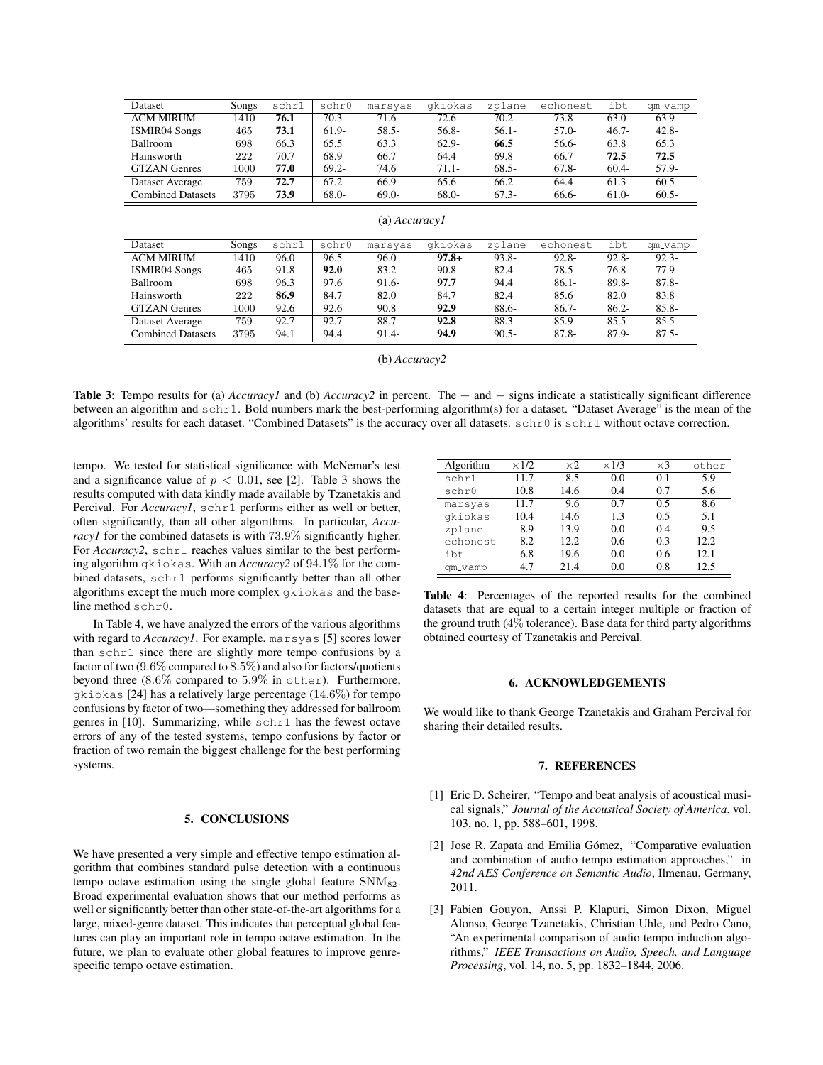| Dataset                  | Songs | schr1 | schr0    | marsyas  | gkiokas  | zplane   | echonest | ibt      | qm_vamp  |
|--------------------------|-------|-------|----------|----------|----------|----------|----------|----------|----------|
| <b>ACM MIRUM</b>         | 1410  | 76.1  | $70.3 -$ | $71.6-$  | $72.6 -$ | $70.2 -$ | 73.8     | $63.0-$  | $63.9-$  |
| <b>ISMIR04 Songs</b>     | 465   | 73.1  | $61.9-$  | $58.5 -$ | $56.8-$  | $56.1 -$ | $57.0-$  | $46.7 -$ | $42.8 -$ |
| <b>Ballroom</b>          | 698   | 66.3  | 65.5     | 63.3     | $62.9 -$ | 66.5     | 56.6-    | 63.8     | 65.3     |
| Hainsworth               | 222   | 70.7  | 68.9     | 66.7     | 64.4     | 69.8     | 66.7     | 72.5     | 72.5     |
| <b>GTZAN</b> Genres      | 1000  | 77.0  | $69.2 -$ | 74.6     | $71.1 -$ | $68.5 -$ | $67.8 -$ | $60.4 -$ | 57.9-    |
| Dataset Average          | 759   | 72.7  | 67.2     | 66.9     | 65.6     | 66.2     | 64.4     | 61.3     | 60.5     |
| <b>Combined Datasets</b> | 3795  | 73.9  | $68.0-$  | $69.0-$  | $68.0-$  | $67.3-$  | 66.6-    | $61.0-$  | $60.5 -$ |
| (a) <i>Accuracy I</i>    |       |       |          |          |          |          |          |          |          |
|                          |       |       |          |          |          |          |          |          |          |
| Dataset                  | Songs | schr1 | schr0    | marsyas  | gkiokas  | zplane   | echonest | ibt      | qm_vamp  |
| <b>ACM MIRUM</b>         | 1410  | 96.0  | 96.5     | 96.0     | $97.8 +$ | $93.8 -$ | $92.8 -$ | $92.8 -$ | $92.3 -$ |
| <b>ISMIR04 Songs</b>     | 465   | 91.8  | 92.0     | $83.2 -$ | 90.8     | $82.4 -$ | $78.5 -$ | $76.8 -$ | $77.9-$  |
| <b>Ballroom</b>          | 698   | 96.3  | 97.6     | $91.6-$  | 97.7     | 94.4     | $86.1 -$ | 89.8-    | $87.8 -$ |
| Hainsworth               | 222   | 86.9  | 84.7     | 82.0     | 84.7     | 82.4     | 85.6     | 82.0     | 83.8     |
| <b>GTZAN</b> Genres      | 1000  | 92.6  | 92.6     | 90.8     | 92.9     | $88.6-$  | $86.7 -$ | $86.2 -$ | $85.8 -$ |
| Dataset Average          | 759   | 92.7  | 92.7     | 88.7     | 92.8     | 88.3     | 85.9     | 85.5     | 85.5     |
| <b>Combined Datasets</b> | 3795  | 94.1  | 94.4     | $91.4-$  | 94.9     | $90.5 -$ | $87.8 -$ | $87.9 -$ | $87.5 -$ |

(b) *Accuracy2*

Table 3: Tempo results for (a) *Accuracy1* and (b) *Accuracy2* in percent. The + and − signs indicate a statistically significant difference between an algorithm and schr1. Bold numbers mark the best-performing algorithm(s) for a dataset. "Dataset Average" is the mean of the algorithms' results for each dataset. "Combined Datasets" is the accuracy over all datasets.  $schr0$  is  $schr1$  without octave correction.

tempo. We tested for statistical significance with McNemar's test and a significance value of  $p < 0.01$ , see [2]. Table 3 shows the results computed with data kindly made available by Tzanetakis and Percival. For  $Accuracy1$ , schr1 performs either as well or better, often significantly, than all other algorithms. In particular, *Accuracyl* for the combined datasets is with 73.9% significantly higher. For *Accuracy*2, schr1 reaches values similar to the best performing algorithm gkiokas. With an *Accuracy2* of 94.1% for the combined datasets, schr1 performs significantly better than all other algorithms except the much more complex gkiokas and the baseline method schr0.

In Table 4, we have analyzed the errors of the various algorithms with regard to *Accuracy1*. For example, marsyas [5] scores lower than schr1 since there are slightly more tempo confusions by a factor of two (9.6% compared to 8.5%) and also for factors/quotients beyond three (8.6% compared to 5.9% in other). Furthermore, gkiokas [24] has a relatively large percentage (14.6%) for tempo confusions by factor of two—something they addressed for ballroom genres in [10]. Summarizing, while schr1 has the fewest octave errors of any of the tested systems, tempo confusions by factor or fraction of two remain the biggest challenge for the best performing systems.

### 5. CONCLUSIONS

We have presented a very simple and effective tempo estimation algorithm that combines standard pulse detection with a continuous tempo octave estimation using the single global feature  $\text{SNM}_{82}$ . Broad experimental evaluation shows that our method performs as well or significantly better than other state-of-the-art algorithms for a large, mixed-genre dataset. This indicates that perceptual global features can play an important role in tempo octave estimation. In the future, we plan to evaluate other global features to improve genrespecific tempo octave estimation.

| Algorithm | $\times$ 1/2 | $\times 2$ | $\times$ 1/3 | $\times$ 3 | other |
|-----------|--------------|------------|--------------|------------|-------|
| schr1     | 11.7         | 8.5        | 0.0          | 0.1        | 5.9   |
| schr0     | 10.8         | 14.6       | 0.4          | 0.7        | 5.6   |
| marsyas   | 11.7         | 9.6        | 0.7          | 0.5        | 8.6   |
| gkiokas   | 10.4         | 14.6       | 1.3          | 0.5        | 5.1   |
| zplane    | 8.9          | 13.9       | 0.0          | 0.4        | 9.5   |
| echonest  | 8.2          | 12.2       | 0.6          | 0.3        | 12.2  |
| ibt       | 6.8          | 19.6       | 0.0          | 0.6        | 12.1  |
| qm_vamp   | 4.7          | 21.4       | 0.0          | 0.8        | 12.5  |

Table 4: Percentages of the reported results for the combined datasets that are equal to a certain integer multiple or fraction of the ground truth  $(4\%$  tolerance). Base data for third party algorithms obtained courtesy of Tzanetakis and Percival.

## 6. ACKNOWLEDGEMENTS

We would like to thank George Tzanetakis and Graham Percival for sharing their detailed results.

#### 7. REFERENCES

- [1] Eric D. Scheirer, "Tempo and beat analysis of acoustical musical signals," *Journal of the Acoustical Society of America*, vol. 103, no. 1, pp. 588–601, 1998.
- [2] Jose R. Zapata and Emilia Gómez, "Comparative evaluation and combination of audio tempo estimation approaches," in *42nd AES Conference on Semantic Audio*, Ilmenau, Germany, 2011.
- [3] Fabien Gouyon, Anssi P. Klapuri, Simon Dixon, Miguel Alonso, George Tzanetakis, Christian Uhle, and Pedro Cano, "An experimental comparison of audio tempo induction algorithms," *IEEE Transactions on Audio, Speech, and Language Processing*, vol. 14, no. 5, pp. 1832–1844, 2006.